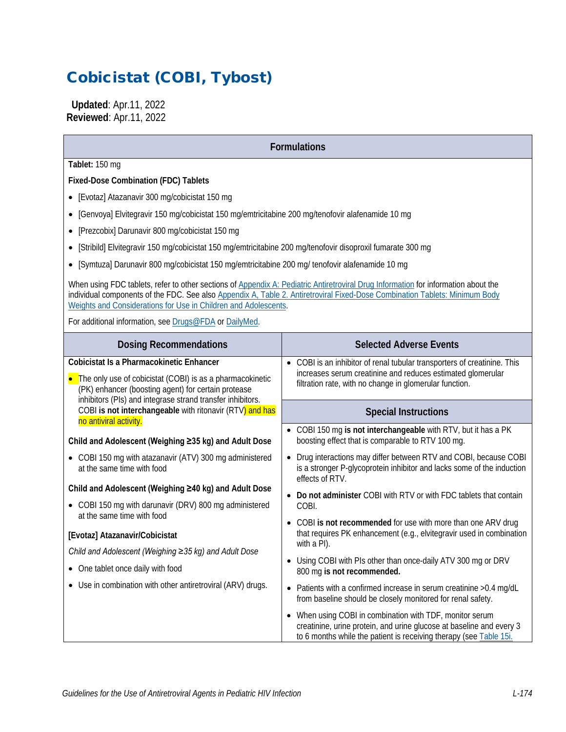# Cobicistat (COBI, Tybost)

 **Updated**: Apr.11, 2022 **Reviewed**: Apr.11, 2022

**Formulations**

**Tablet:** 150 mg

**Fixed-Dose Combination (FDC) Tablets**

- [Evotaz] Atazanavir 300 mg/cobicistat 150 mg
- [Genvoya] Elvitegravir 150 mg/cobicistat 150 mg/emtricitabine 200 mg/tenofovir alafenamide 10 mg
- [Prezcobix] Darunavir 800 mg/cobicistat 150 mg
- [Stribild] Elvitegravir 150 mg/cobicistat 150 mg/emtricitabine 200 mg/tenofovir disoproxil fumarate 300 mg
- [Symtuza] Darunavir 800 mg/cobicistat 150 mg/emtricitabine 200 mg/ tenofovir alafenamide 10 mg

When using FDC tablets, refer to other sections of [Appendix A: Pediatric Antiretroviral Drug Information](https://clinicalinfo.hiv.gov/en/guidelines/pediatric-arv/overview-0) for information about the individual components of the FDC. See also [Appendix A, Table 2. Antiretroviral Fixed-Dose Combination Tablets: Minimum Body](https://clinicalinfo.hiv.gov/en/guidelines/pediatric-arv/appendix-table-2-antiretroviral-fixed-dose-combination-tablets-minimum)  [Weights and Considerations for Use in Children and Adolescents.](https://clinicalinfo.hiv.gov/en/guidelines/pediatric-arv/appendix-table-2-antiretroviral-fixed-dose-combination-tablets-minimum)

For additional information, see [Drugs@FDA](https://www.accessdata.fda.gov/scripts/cder/daf/) or [DailyMed.](https://dailymed.nlm.nih.gov/dailymed/)

| <b>Dosing Recommendations</b>                                                                                                                                                                                                | <b>Selected Adverse Events</b>                                                                                                                                                                       |
|------------------------------------------------------------------------------------------------------------------------------------------------------------------------------------------------------------------------------|------------------------------------------------------------------------------------------------------------------------------------------------------------------------------------------------------|
| Cobicistat Is a Pharmacokinetic Enhancer<br>• The only use of cobicistat (COBI) is as a pharmacokinetic<br>(PK) enhancer (boosting agent) for certain protease<br>inhibitors (PIs) and integrase strand transfer inhibitors. | • COBI is an inhibitor of renal tubular transporters of creatinine. This<br>increases serum creatinine and reduces estimated glomerular<br>filtration rate, with no change in glomerular function.   |
| COBI is not interchangeable with ritonavir (RTV) and has<br>no antiviral activity.                                                                                                                                           | <b>Special Instructions</b>                                                                                                                                                                          |
| Child and Adolescent (Weighing ≥35 kg) and Adult Dose                                                                                                                                                                        | • COBI 150 mg is not interchangeable with RTV, but it has a PK<br>boosting effect that is comparable to RTV 100 mg.                                                                                  |
| COBI 150 mg with atazanavir (ATV) 300 mg administered<br>$\bullet$<br>at the same time with food                                                                                                                             | Drug interactions may differ between RTV and COBI, because COBI<br>is a stronger P-glycoprotein inhibitor and lacks some of the induction<br>effects of RTV.                                         |
| Child and Adolescent (Weighing ≥40 kg) and Adult Dose                                                                                                                                                                        | • Do not administer COBI with RTV or with FDC tablets that contain                                                                                                                                   |
| • COBI 150 mg with darunavir (DRV) 800 mg administered<br>at the same time with food                                                                                                                                         | COBI.                                                                                                                                                                                                |
| [Evotaz] Atazanavir/Cobicistat<br>Child and Adolescent (Weighing ≥35 kg) and Adult Dose                                                                                                                                      | • COBI is not recommended for use with more than one ARV drug<br>that requires PK enhancement (e.g., elvitegravir used in combination<br>with a PI).                                                 |
| • One tablet once daily with food                                                                                                                                                                                            | Using COBI with PIs other than once-daily ATV 300 mg or DRV<br>800 mg is not recommended.                                                                                                            |
| • Use in combination with other antiretroviral (ARV) drugs.                                                                                                                                                                  | • Patients with a confirmed increase in serum creatinine > 0.4 mg/dL<br>from baseline should be closely monitored for renal safety.                                                                  |
|                                                                                                                                                                                                                              | When using COBI in combination with TDF, monitor serum<br>creatinine, urine protein, and urine glucose at baseline and every 3<br>to 6 months while the patient is receiving therapy (see Table 15i. |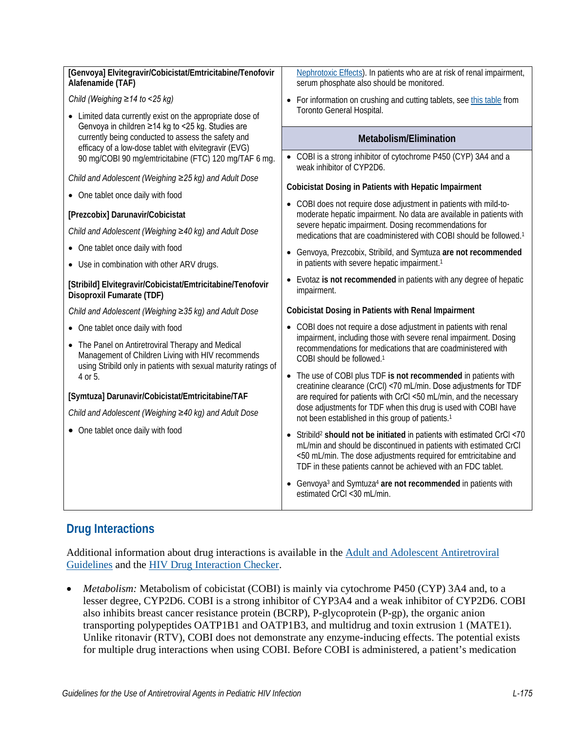| [Genvoya] Elvitegravir/Cobicistat/Emtricitabine/Tenofovir<br>Alafenamide (TAF)                                                                                                                                            | Nephrotoxic Effects). In patients who are at risk of renal impairment,<br>serum phosphate also should be monitored.                                                                                                                                                                                                                                                                                               |
|---------------------------------------------------------------------------------------------------------------------------------------------------------------------------------------------------------------------------|-------------------------------------------------------------------------------------------------------------------------------------------------------------------------------------------------------------------------------------------------------------------------------------------------------------------------------------------------------------------------------------------------------------------|
| Child (Weighing ≥14 to <25 kg)                                                                                                                                                                                            | For information on crushing and cutting tablets, see this table from                                                                                                                                                                                                                                                                                                                                              |
| • Limited data currently exist on the appropriate dose of                                                                                                                                                                 | Toronto General Hospital.                                                                                                                                                                                                                                                                                                                                                                                         |
| Genvoya in children ≥14 kg to <25 kg. Studies are<br>currently being conducted to assess the safety and<br>efficacy of a low-dose tablet with elvitegravir (EVG)<br>90 mg/COBI 90 mg/emtricitabine (FTC) 120 mg/TAF 6 mg. | Metabolism/Elimination                                                                                                                                                                                                                                                                                                                                                                                            |
|                                                                                                                                                                                                                           | • COBI is a strong inhibitor of cytochrome P450 (CYP) 3A4 and a<br>weak inhibitor of CYP2D6.                                                                                                                                                                                                                                                                                                                      |
| Child and Adolescent (Weighing ≥25 kg) and Adult Dose                                                                                                                                                                     | Cobicistat Dosing in Patients with Hepatic Impairment                                                                                                                                                                                                                                                                                                                                                             |
| • One tablet once daily with food                                                                                                                                                                                         | • COBI does not require dose adjustment in patients with mild-to-                                                                                                                                                                                                                                                                                                                                                 |
| [Prezcobix] Darunavir/Cobicistat                                                                                                                                                                                          | moderate hepatic impairment. No data are available in patients with                                                                                                                                                                                                                                                                                                                                               |
| Child and Adolescent (Weighing ≥40 kg) and Adult Dose                                                                                                                                                                     | severe hepatic impairment. Dosing recommendations for<br>medications that are coadministered with COBI should be followed. <sup>1</sup>                                                                                                                                                                                                                                                                           |
| • One tablet once daily with food                                                                                                                                                                                         | • Genvoya, Prezcobix, Stribild, and Symtuza are not recommended                                                                                                                                                                                                                                                                                                                                                   |
| • Use in combination with other ARV drugs.                                                                                                                                                                                | in patients with severe hepatic impairment. <sup>1</sup>                                                                                                                                                                                                                                                                                                                                                          |
| [Stribild] Elvitegravir/Cobicistat/Emtricitabine/Tenofovir<br><b>Disoproxil Fumarate (TDF)</b>                                                                                                                            | • Evotaz is not recommended in patients with any degree of hepatic<br>impairment.                                                                                                                                                                                                                                                                                                                                 |
| Child and Adolescent (Weighing ≥35 kg) and Adult Dose                                                                                                                                                                     | <b>Cobicistat Dosing in Patients with Renal Impairment</b>                                                                                                                                                                                                                                                                                                                                                        |
| • One tablet once daily with food                                                                                                                                                                                         | • COBI does not require a dose adjustment in patients with renal                                                                                                                                                                                                                                                                                                                                                  |
| • The Panel on Antiretroviral Therapy and Medical<br>Management of Children Living with HIV recommends                                                                                                                    | impairment, including those with severe renal impairment. Dosing<br>recommendations for medications that are coadministered with<br>COBI should be followed. <sup>1</sup>                                                                                                                                                                                                                                         |
| using Stribild only in patients with sexual maturity ratings of<br>4 or 5.                                                                                                                                                | • The use of COBI plus TDF is not recommended in patients with<br>creatinine clearance (CrCl) <70 mL/min. Dose adjustments for TDF                                                                                                                                                                                                                                                                                |
| [Symtuza] Darunavir/Cobicistat/Emtricitabine/TAF                                                                                                                                                                          | are required for patients with CrCl <50 mL/min, and the necessary                                                                                                                                                                                                                                                                                                                                                 |
| Child and Adolescent (Weighing ≥40 kg) and Adult Dose                                                                                                                                                                     | dose adjustments for TDF when this drug is used with COBI have<br>not been established in this group of patients. <sup>1</sup>                                                                                                                                                                                                                                                                                    |
| • One tablet once daily with food                                                                                                                                                                                         | • Stribild <sup>2</sup> should not be initiated in patients with estimated CrCl <70<br>mL/min and should be discontinued in patients with estimated CrCl<br><50 mL/min. The dose adjustments required for emtricitabine and<br>TDF in these patients cannot be achieved with an FDC tablet.<br>• Genvoya <sup>3</sup> and Symtuza <sup>4</sup> are not recommended in patients with<br>estimated CrCl <30 mL/min. |
|                                                                                                                                                                                                                           |                                                                                                                                                                                                                                                                                                                                                                                                                   |

## **Drug Interactions**

Additional information about drug interactions is available in the [Adult and Adolescent Antiretroviral](https://clinicalinfo.hiv.gov/en/guidelines/adult-and-adolescent-arv/whats-new-guidelines)  [Guidelines](https://clinicalinfo.hiv.gov/en/guidelines/adult-and-adolescent-arv/whats-new-guidelines) and the [HIV Drug Interaction Checker.](https://www.hiv-druginteractions.org/)

*Metabolism:* Metabolism of cobicistat (COBI) is mainly via cytochrome P450 (CYP) 3A4 and, to a lesser degree, CYP2D6. COBI is a strong inhibitor of CYP3A4 and a weak inhibitor of CYP2D6. COBI also inhibits breast cancer resistance protein (BCRP), P-glycoprotein (P-gp), the organic anion transporting polypeptides OATP1B1 and OATP1B3, and multidrug and toxin extrusion 1 (MATE1). Unlike ritonavir (RTV), COBI does not demonstrate any enzyme-inducing effects. The potential exists for multiple drug interactions when using COBI. Before COBI is administered, a patient's medication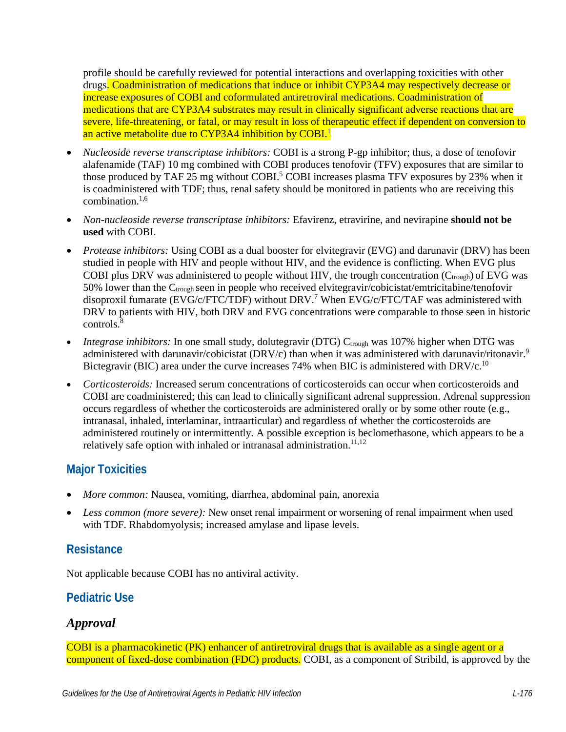profile should be carefully reviewed for potential interactions and overlapping toxicities with other drugs. Coadministration of medications that induce or inhibit CYP3A4 may respectively decrease or increase exposures of COBI and coformulated antiretroviral medications. Coadministration of medications that are CYP3A4 substrates may result in clinically significant adverse reactions that are severe, life-threatening, or fatal, or may result in loss of therapeutic effect if dependent on conversion to an active metabolite due to CYP3A4 inhibition by COBI.<sup>1</sup>

- *Nucleoside reverse transcriptase inhibitors:* COBI is a strong P-gp inhibitor; thus, a dose of tenofovir alafenamide (TAF) 10 mg combined with COBI produces tenofovir (TFV) exposures that are similar to those produced by TAF 25 mg without COBI.<sup>5</sup> COBI increases plasma TFV exposures by 23% when it is coadministered with TDF; thus, renal safety should be monitored in patients who are receiving this combination. $1,6$  $1,6$
- *Non-nucleoside reverse transcriptase inhibitors:* Efavirenz, etravirine, and nevirapine **should not be used** with COBI.
- *Protease inhibitors:* Using COBI as a dual booster for elvitegravir (EVG) and darunavir (DRV) has been studied in people with HIV and people without HIV, and the evidence is conflicting. When EVG plus COBI plus DRV was administered to people without HIV, the trough concentration  $(C_{\text{trough}})$  of EVG was 50% lower than the  $C_{\text{trough}}$  seen in people who received elvitegravir/cobicistat/emtricitabine/tenofovir disoproxil fumarate (EVG/c/FTC/TDF) without DRV.<sup>[7](#page-4-6)</sup> When EVG/c/FTC/TAF was administered with DRV to patients with HIV, both DRV and EVG concentrations were comparable to those seen in historic controls.<sup>[8](#page-4-7)</sup>
- *Integrase inhibitors:* In one small study, dolutegravir (DTG) C<sub>trough</sub> was 107% higher when DTG was administered with darunavir/cobicistat (DRV/c) than when it was administered with darunavir/ritonavir.<sup>9</sup> Bictegravir (BIC) area under the curve increases 74% when BIC is administered with DRV/c.<sup>[10](#page-4-9)</sup>
- *Corticosteroids:* Increased serum concentrations of corticosteroids can occur when corticosteroids and COBI are coadministered; this can lead to clinically significant adrenal suppression. Adrenal suppression occurs regardless of whether the corticosteroids are administered orally or by some other route (e.g., intranasal, inhaled, interlaminar, intraarticular) and regardless of whether the corticosteroids are administered routinely or intermittently*.* A possible exception is beclomethasone, which appears to be a relatively safe option with inhaled or intranasal administration.<sup>11,[12](#page-5-1)</sup>

### **Major Toxicities**

- *More common:* Nausea, vomiting, diarrhea, abdominal pain, anorexia
- *Less common (more severe):* New onset renal impairment or worsening of renal impairment when used with TDF. Rhabdomyolysis; increased amylase and lipase levels.

### **Resistance**

Not applicable because COBI has no antiviral activity.

### **Pediatric Use**

### *Approval*

COBI is a pharmacokinetic (PK) enhancer of antiretroviral drugs that is available as a single agent or a component of fixed-dose combination (FDC) products. COBI, as a component of Stribild, is approved by the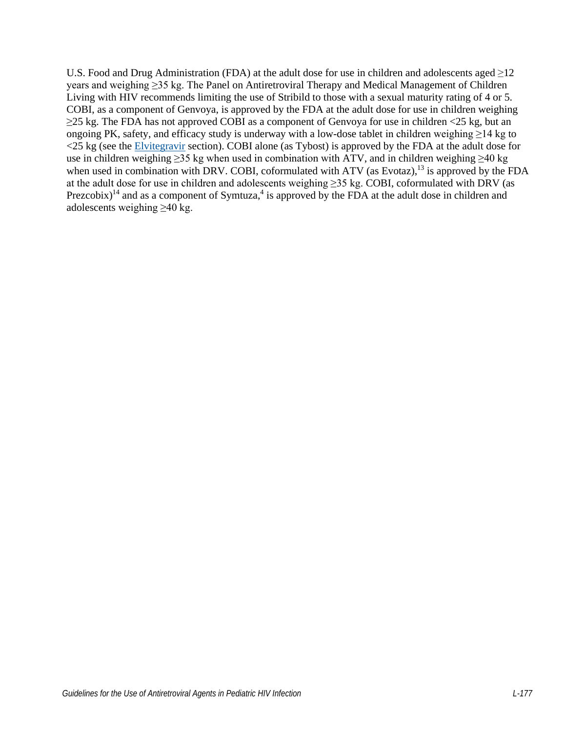U.S. Food and Drug Administration (FDA) at the adult dose for use in children and adolescents aged  $\geq$ 12 years and weighing ≥35 kg. The Panel on Antiretroviral Therapy and Medical Management of Children Living with HIV recommends limiting the use of Stribild to those with a sexual maturity rating of 4 or 5. COBI, as a component of Genvoya, is approved by the FDA at the adult dose for use in children weighing  $\geq$ 25 kg. The FDA has not approved COBI as a component of Genvoya for use in children <25 kg, but an ongoing PK, safety, and efficacy study is underway with a low-dose tablet in children weighing ≥14 kg to <25 kg (see the [Elvitegravir](https://clinicalinfo.hiv.gov/en/guidelines/pediatric-arv/elvitegravir?view=full) section). COBI alone (as Tybost) is approved by the FDA at the adult dose for use in children weighing ≥35 kg when used in combination with ATV, and in children weighing ≥40 kg when used in combination with DRV. COBI, coformulated with ATV (as Evotaz),<sup>13</sup> is approved by the FDA at the adult dose for use in children and adolescents weighing ≥35 kg. COBI, coformulated with DRV (as Prezcobix)<sup>14</sup> and as a component of Symtuza,<sup>4</sup> is approved by the FDA at the adult dose in children and adolescents weighing ≥40 kg.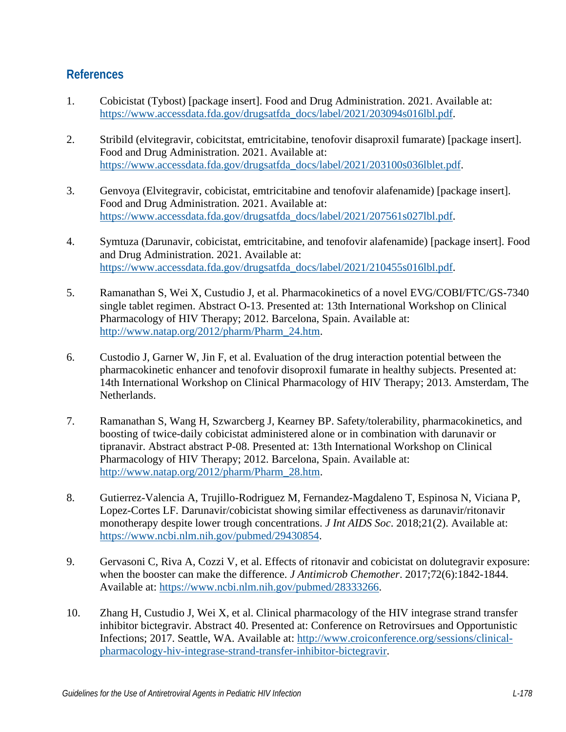#### **References**

- <span id="page-4-0"></span>1. Cobicistat (Tybost) [package insert]. Food and Drug Administration. 2021. Available at: [https://www.accessdata.fda.gov/drugsatfda\\_docs/label/2021/203094s016lbl.pdf.](https://www.accessdata.fda.gov/drugsatfda_docs/label/2021/203094s016lbl.pdf)
- <span id="page-4-1"></span>2. Stribild (elvitegravir, cobicitstat, emtricitabine, tenofovir disaproxil fumarate) [package insert]. Food and Drug Administration. 2021. Available at: [https://www.accessdata.fda.gov/drugsatfda\\_docs/label/2021/203100s036lblet.pdf.](https://www.accessdata.fda.gov/drugsatfda_docs/label/2021/203100s036lblet.pdf)
- <span id="page-4-2"></span>3. Genvoya (Elvitegravir, cobicistat, emtricitabine and tenofovir alafenamide) [package insert]. Food and Drug Administration. 2021. Available at: [https://www.accessdata.fda.gov/drugsatfda\\_docs/label/2021/207561s027lbl.pdf.](https://www.accessdata.fda.gov/drugsatfda_docs/label/2021/207561s027lbl.pdf)
- <span id="page-4-3"></span>4. Symtuza (Darunavir, cobicistat, emtricitabine, and tenofovir alafenamide) [package insert]. Food and Drug Administration. 2021. Available at: [https://www.accessdata.fda.gov/drugsatfda\\_docs/label/2021/210455s016lbl.pdf.](https://www.accessdata.fda.gov/drugsatfda_docs/label/2021/210455s016lbl.pdf)
- <span id="page-4-4"></span>5. Ramanathan S, Wei X, Custudio J, et al. Pharmacokinetics of a novel EVG/COBI/FTC/GS-7340 single tablet regimen. Abstract O-13. Presented at: 13th International Workshop on Clinical Pharmacology of HIV Therapy; 2012. Barcelona, Spain. Available at: [http://www.natap.org/2012/pharm/Pharm\\_24.htm.](http://www.natap.org/2012/pharm/Pharm_24.htm)
- <span id="page-4-5"></span>6. Custodio J, Garner W, Jin F, et al. Evaluation of the drug interaction potential between the pharmacokinetic enhancer and tenofovir disoproxil fumarate in healthy subjects. Presented at: 14th International Workshop on Clinical Pharmacology of HIV Therapy; 2013. Amsterdam, The Netherlands.
- <span id="page-4-6"></span>7. Ramanathan S, Wang H, Szwarcberg J, Kearney BP. Safety/tolerability, pharmacokinetics, and boosting of twice-daily cobicistat administered alone or in combination with darunavir or tipranavir. Abstract abstract P-08. Presented at: 13th International Workshop on Clinical Pharmacology of HIV Therapy; 2012. Barcelona, Spain. Available at: [http://www.natap.org/2012/pharm/Pharm\\_28.htm.](http://www.natap.org/2012/pharm/Pharm_28.htm)
- <span id="page-4-7"></span>8. Gutierrez-Valencia A, Trujillo-Rodriguez M, Fernandez-Magdaleno T, Espinosa N, Viciana P, Lopez-Cortes LF. Darunavir/cobicistat showing similar effectiveness as darunavir/ritonavir monotherapy despite lower trough concentrations. *J Int AIDS Soc*. 2018;21(2). Available at: [https://www.ncbi.nlm.nih.gov/pubmed/29430854.](https://www.ncbi.nlm.nih.gov/pubmed/29430854)
- <span id="page-4-8"></span>9. Gervasoni C, Riva A, Cozzi V, et al. Effects of ritonavir and cobicistat on dolutegravir exposure: when the booster can make the difference. *J Antimicrob Chemother*. 2017;72(6):1842-1844. Available at: [https://www.ncbi.nlm.nih.gov/pubmed/28333266.](https://www.ncbi.nlm.nih.gov/pubmed/28333266)
- <span id="page-4-9"></span>10. Zhang H, Custudio J, Wei X, et al. Clinical pharmacology of the HIV integrase strand transfer inhibitor bictegravir. Abstract 40. Presented at: Conference on Retrovirsues and Opportunistic Infections; 2017. Seattle, WA. Available at: [http://www.croiconference.org/sessions/clinical](http://www.croiconference.org/sessions/clinical-pharmacology-hiv-integrase-strand-transfer-inhibitor-bictegravir)[pharmacology-hiv-integrase-strand-transfer-inhibitor-bictegravir.](http://www.croiconference.org/sessions/clinical-pharmacology-hiv-integrase-strand-transfer-inhibitor-bictegravir)